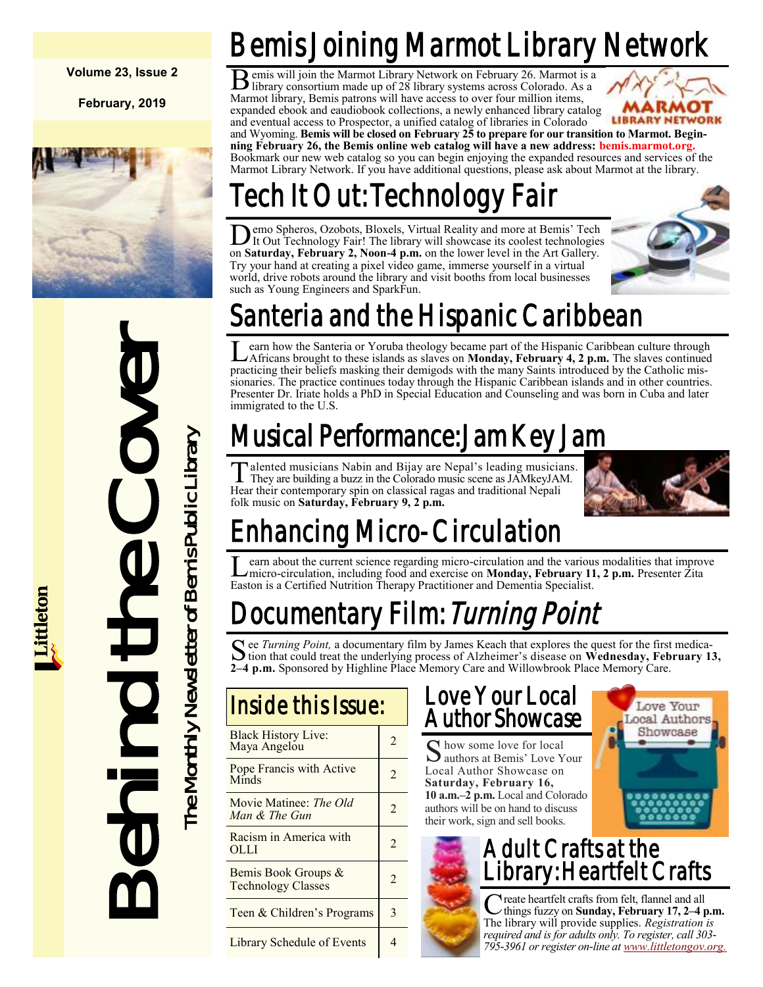**Volume 23, Issue 2**

**February, 2019**



# **Example the Sanctain Scheme Scheme Cover The Cover The Cover The Cover The Cover The Cover The Cover The Cover The Cover The Cover The Cover The Cover The Cover The Cover The Cover The Cover The Cover The Cover The Cover**

# Bemis Joining Marmot Library Network

B emis will join the Marmot Library Network on February 26. Marmot is a library consortium made up of 28 library systems across Colorado. As a library consortium made up of 28 library systems across Colorado. As a Marmot library, Bemis patrons will have access to over four million items, expanded ebook and eaudiobook collections, a newly enhanced library catalog and eventual access to Prospector, a unified catalog of libraries in Colorado



and Wyoming. **Bemis will be closed on February 25 to prepare for our transition to Marmot. Beginning February 26, the Bemis online web catalog will have a new address: bemis.marmot.org.** Bookmark our new web catalog so you can begin enjoying the expanded resources and services of the Marmot Library Network. If you have additional questions, please ask about Marmot at the library.

# Tech It Out: Technology Fair

**D** emo Spheros, Ozobots, Bloxels, Virtual Reality and more at Bemis' Tech It Out Technology Fair! The library will showcase its coolest technologies on **Saturday, February 2, Noon-4 p.m.** on the lower level in the Art Gal emo Spheros, Ozobots, Bloxels, Virtual Reality and more at Bemis' Tech It Out Technology Fair! The library will showcase its coolest technologies Try your hand at creating a pixel video game, immerse yourself in a virtual world, drive robots around the library and visit booths from local businesses such as Young Engineers and SparkFun.



# Santeria and the Hispanic Caribbean

Learn how the Santeria or Yoruba theology became part of the Hispanic Caribbean culture through Africans brought to these islands as slaves on **Monday, February 4, 2 p.m.** The slaves continued earn how the Santeria or Yoruba theology became part of the Hispanic Caribbean culture through practicing their beliefs masking their demigods with the many Saints introduced by the Catholic missionaries. The practice continues today through the Hispanic Caribbean islands and in other countries. Presenter Dr. Iriate holds a PhD in Special Education and Counseling and was born in Cuba and later immigrated to the U.S.

# Musical Performance: Jam Key Jam

Talented musicians Nabin and Bijay are Nepal's leading musicians.<br>They are building a buzz in the Colorado music scene as JAMkeyJAM. They are building a buzz in the Colorado music scene as JAMkeyJAM. Hear their contemporary spin on classical ragas and traditional Nepali folk music on **Saturday, February 9, 2 p.m.**



# Enhancing Micro-Circulation

Learn about the current science regarding micro-circulation and the various modalities that improvement or more circulation, including food and exercise on **Monday, February 11, 2 p.m.** Presenter Zita earn about the current science regarding micro-circulation and the various modalities that improve Easton is a Certified Nutrition Therapy Practitioner and Dementia Specialist.

# ocumentary Film: *Turning Point*

See *Turning Point*, a documentary film by James Keach that explores the quest for the first medication that could treat the underlying process of Alzheimer's disease on Wednesday, February 1. tion that could treat the underlying process of Alzheimer's disease on **Wednesday, February 13, 2–4 p.m.** Sponsored by Highline Place Memory Care and Willowbrook Place Memory Care.

| Inside this Issue:                               |                |
|--------------------------------------------------|----------------|
| <b>Black History Live:</b><br>Maya Angelou       | 2              |
| Pope Francis with Active<br>Minds                | $\mathfrak{D}$ |
| Movie Matinee: The Old<br>Man & The Gun          | $\mathfrak{D}$ |
| Racism in America with<br>OLLI                   | $\mathfrak{D}$ |
| Bemis Book Groups &<br><b>Technology Classes</b> |                |
| Teen & Children's Programs                       | 3              |
| Library Schedule of Events                       | 4              |

## Love Your Local Author Showcase

S how some love for local<br>authors at Bemis' Love Y authors at Bemis' Love Your Local Author Showcase on **Saturday, February 16, 10 a.m.–2 p.m.** Local and Colorado authors will be on hand to discuss their work, sign and sell books.



# Adult Crafts at the brary: Heartfelt Crafts

C reate heartfelt crafts from felt, flannel and all<br>things fuzzy on **Sunday, February 17, 2–4 p.m.** reate heartfelt crafts from felt, flannel and all The library will provide supplies. *Registration is required and is for adults only. To register, call 303- 795-3961 or register on-line at [www.littletongov.org.](https://www.littletongov.org/city-services/city-departments/bemis-library/library-events-calendar/-curm-2/-cury-2019/-selcat-3)*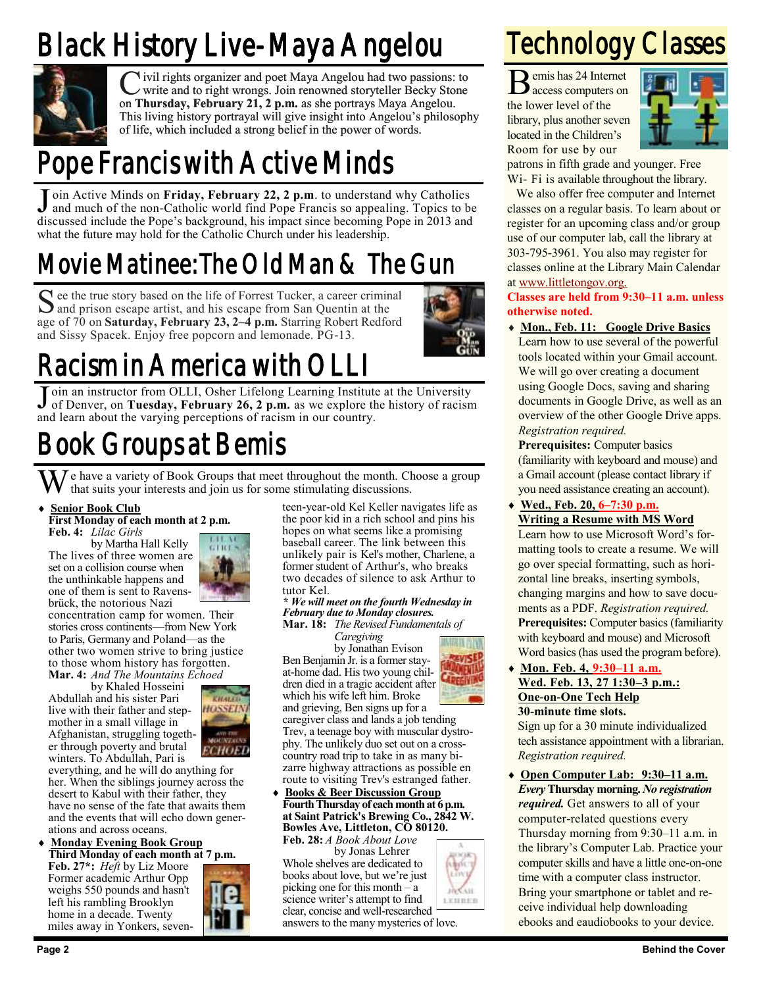# Black History Live-Maya Angelou



C ivil rights organizer and poet Maya Angelou had two passions: to write and to right wrongs. Join renowned storyteller Becky Stone on **Thursday, February 21, 2 p.m.** as she portrays Maya Angelou. This living history portrayal will give insight into Angelou's philosophy of life, which included a strong belief in the power of words.

# Pope Francis with Active Minds

Join Active Minds on Friday, February 22, 2 p.m. to understand why Catholics and much of the non-Catholic world find Pope Francis so appealing. Topics to be and much of the non-Catholic world find Pope Francis so appealing. Topics to be discussed include the Pope's background, his impact since becoming Pope in 2013 and what the future may hold for the Catholic Church under his leadership.

# Movie Matinee: The Old Man & The Gun

See the true story based on the life of Forrest Tucker, a career criminal and prison escape artist, and his escape from San Quentin at the and prison escape artist, and his escape from San Quentin at the age of 70 on **Saturday, February 23, 2–4 p.m.** Starring Robert Redford and Sissy Spacek. Enjoy free popcorn and lemonade. PG-13.



# Racism in America with OL

Join an instructor from OLLI, Osher Lifelong Learning Institute at the University<br>of Denver, on Tuesday, February 26, 2 p.m. as we explore the history of racism of Denver, on **Tuesday, February 26, 2 p.m.** as we explore the history of racism and learn about the varying perceptions of racism in our country.

# Book Groups at Bemis

 $\sum_{i=1}^{n} \sum_{j=1}^{n}$  a variety of Book Groups that meet throughout the month. Choose a group that suits your interests and join us for some stimulating discussions.

### **Senior Book Club**

**First Monday of each month at 2 p.m. Feb. 4:** *Lilac Girls*

by Martha Hall Kelly The lives of three women are set on a collision course when the unthinkable happens and one of them is sent to Ravensbrück, the notorious Nazi



concentration camp for women. Their stories cross continents—from New York to Paris, Germany and Poland—as the other two women strive to bring justice to those whom history has forgotten. **Mar. 4:** *And The Mountains Echoed*

by Khaled Hosseini Abdullah and his sister Pari live with their father and stepmother in a small village in Afghanistan, struggling together through poverty and brutal winters. To Abdullah, Pari is

everything, and he will do anything for her. When the siblings journey across the desert to Kabul with their father, they have no sense of the fate that awaits them and the events that will echo down generations and across oceans.

 **Monday Evening Book Group Third Monday of each month at 7 p.m.**

**Feb. 27\*:** *Heft* by Liz Moore Former academic Arthur Opp weighs 550 pounds and hasn't left his rambling Brooklyn home in a decade. Twenty miles away in Yonkers, seven-



teen-year-old Kel Keller navigates life as the poor kid in a rich school and pins his hopes on what seems like a promising baseball career. The link between this unlikely pair is Kel's mother, Charlene, a former student of Arthur's, who breaks two decades of silence to ask Arthur to tutor Kel.

*\* We will meet on the fourth Wednesday in February due to Monday closures.* **Mar. 18:** *The Revised Fundamentals of*

*Caregiving*

Ben Benjamin Jr. is a former stayat-home dad. His two young children died in a tragic accident after which his wife left him. Broke

and grieving, Ben signs up for a caregiver class and lands a job tending Trev, a teenage boy with muscular dystrophy. The unlikely duo set out on a crosscountry road trip to take in as many bizarre highway attractions as possible en

### route to visiting Trev's estranged father. **Books & Beer Discussion Group Fourth Thursday of each month at 6 p.m. at Saint Patrick's Brewing Co., 2842 W. Bowles Ave, Littleton, CO 80120.**

**Feb. 28:** *A Book About Love* by Jonas Lehrer Whole shelves are dedicated to books about love, but we're just picking one for this month – a science writer's attempt to find clear, concise and well-researched answers to the many mysteries of love.

# Technology Classes

B emis has 24 Internet emis has 24 Internet the lower level of the library, plus another seven located in the Children's Room for use by our



patrons in fifth grade and younger. Free Wi- Fi is available throughout the library.

We also offer free computer and Internet classes on a regular basis. To learn about or register for an upcoming class and/or group use of our computer lab, call the library at 303-795-3961. You also may register for classes online at the Library Main Calendar at [www.littletongov.org.](https://www.littletongov.org/city-services/city-departments/bemis-library/library-events-calendar/-curm-2/-cury-2019/-selcat-157)

**Classes are held from 9:30–11 a.m. unless otherwise noted.**

**Mon., Feb. 11: Google Drive Basics**

Learn how to use several of the powerful tools located within your Gmail account. We will go over creating a document using Google Docs, saving and sharing documents in Google Drive, as well as an overview of the other Google Drive apps. *Registration required.*

**Prerequisites:** Computer basics (familiarity with keyboard and mouse) and a Gmail account (please contact library if you need assistance creating an account).

- **Wed., Feb. 20, 6–7:30 p.m. Writing a Resume with MS Word** Learn how to use Microsoft Word's formatting tools to create a resume. We will go over special formatting, such as horizontal line breaks, inserting symbols, changing margins and how to save documents as a PDF. *Registration required.* **Prerequisites:** Computer basics (familiarity with keyboard and mouse) and Microsoft Word basics (has used the program before).
- **Mon. Feb. 4, 9:30–11 a.m. Wed. Feb. 13, 27 1:30–3 p.m.: One-on-One Tech Help 30-minute time slots.**

Sign up for a 30 minute individualized tech assistance appointment with a librarian. *Registration required.*

 **Open Computer Lab: 9:30–11 a.m.** *Every* **Thursday morning.** *No registration required.* Get answers to all of your computer-related questions every Thursday morning from 9:30–11 a.m. in the library's Computer Lab. Practice your computer skills and have a little one-on-one time with a computer class instructor. Bring your smartphone or tablet and receive individual help downloading ebooks and eaudiobooks to your device.



by Jonathan Evison



**DVCA16** LEBRER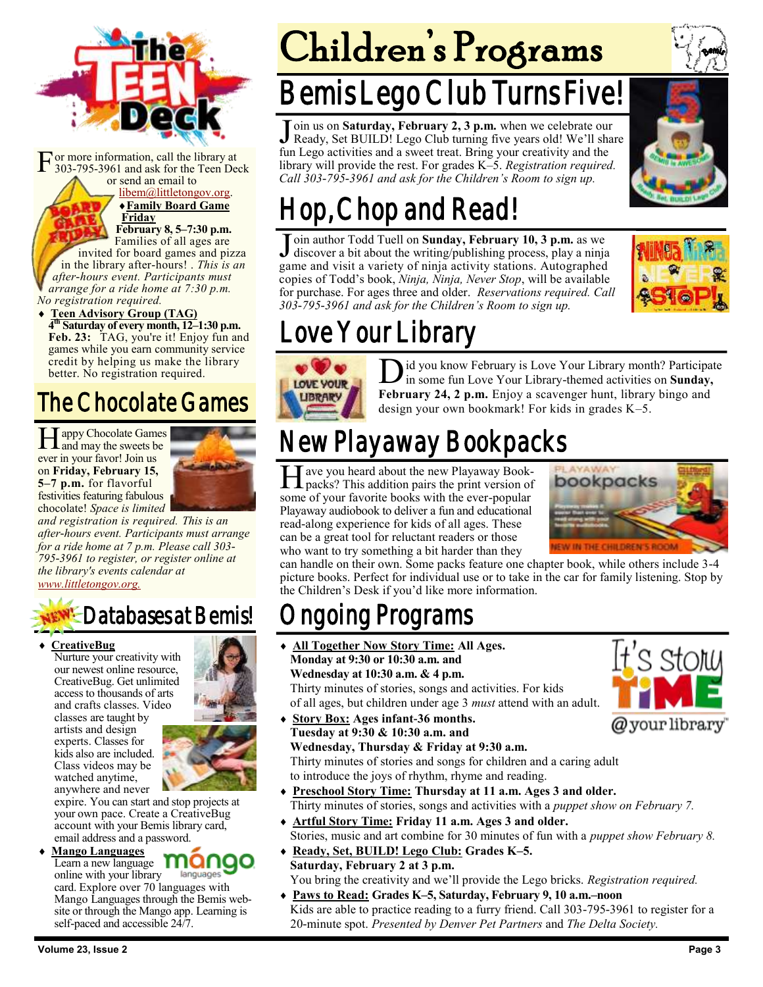

F or more information, call the library at 303-795-3961 and ask for the Teen Deck or send an email to

> [libem@littletongov.org.](mailto:libem@littletongov.org.) **Family Board Game**

**Friday February 8, 5–7:30 p.m.** Families of all ages are invited for board games and pizza

in the library after-hours! . *This is an after-hours event. Participants must arrange for a ride home at 7:30 p.m. No registration required.*

### **Teen Advisory Group (TAG)**

**4 th Saturday of every month, 12–1:30 p.m. Feb. 23:** TAG, you're it! Enjoy fun and games while you earn community service credit by helping us make the library better. No registration required.

# The Chocolate Games

Happy Chocolate Games<br>and may the sweets be and may the sweets be ever in your favor! Join us on **Friday, February 15, 5–7 p.m.** for flavorful festivities featuring fabulous chocolate! *Space is limited* 



*and registration is required. This is an after-hours event. Participants must arrange for a ride home at 7 p.m. Please call 303- 795-3961 to register, or register online at the library's events calendar at [www.littletongov.org.](https://www.littletongov.org/city-services/city-departments/bemis-library/library-events-calendar/-curm-2/-cury-2019/-selcat-97)*

# **EW<sup>I</sup>-Databases at Bemis!**

### **CreativeBug**

Nurture your creativity with our newest online resource, CreativeBug. Get unlimited access to thousands of arts and crafts classes. Video classes are taught by artists and design experts. Classes for kids also are included. Class videos may be watched anytime, anywhere and never



expire. You can start and stop projects at your own pace. Create a CreativeBug account with your Bemis library card, email address and a password.

### **Mango Languages**

Learn a new language **Manao** online with your library languages card. Explore over 70 languages with Mango Languages through the Bemis website or through the Mango app. Learning is self-paced and accessible 24/7.

# Children's Programs

# Bemis Lego Club Turns Five!

Join us on Saturday, February 2, 3 p.m. when we celebrate our Ready, Set BUILD! Lego Club turning five years old! We'll share oin us on **Saturday, February 2, 3 p.m.** when we celebrate our fun Lego activities and a sweet treat. Bring your creativity and the library will provide the rest. For grades K–5. *Registration required. Call 303-795-3961 and ask for the Children's Room to sign up.*



# Hop, Chop and Read!

Join author Todd Tuell on Sunday, February 10, 3 p.m. as we discover a bit about the writing/publishing process, play a ninja oin author Todd Tuell on **Sunday, February 10, 3 p.m.** as we game and visit a variety of ninja activity stations. Autographed copies of Todd's book, *Ninja, Ninja, Never Stop*, will be available for purchase. For ages three and older. *Reservations required. Call 303-795-3961 and ask for the Children's Room to sign up.*



# Love Your Library



 $\sum$  id you know February is Love Your Library month? Participate in some fun Love Your Library-themed activities on **Sunday**, in some fun Love Your Library-themed activities on **Sunday, February 24, 2 p.m.** Enjoy a scavenger hunt, library bingo and design your own bookmark! For kids in grades K–5.

# New Playaway Bookpacks

H packs? This addition pairs the print version of ave you heard about the new Playaway Booksome of your favorite books with the ever-popular Playaway audiobook to deliver a fun and educational read-along experience for kids of all ages. These can be a great tool for reluctant readers or those who want to try something a bit harder than they



can handle on their own. Some packs feature one chapter book, while others include 3-4 picture books. Perfect for individual use or to take in the car for family listening. Stop by the Children's Desk if you'd like more information.

# ngoing Programs

- **All Together Now Story Time: All Ages. Monday at 9:30 or 10:30 a.m. and Wednesday at 10:30 a.m. & 4 p.m.** Thirty minutes of stories, songs and activities. For kids of all ages, but children under age 3 *must* attend with an adult.
- **Story Box: Ages infant-36 months. Tuesday at 9:30 & 10:30 a.m. and Wednesday, Thursday & Friday at 9:30 a.m.**

Thirty minutes of stories and songs for children and a caring adult to introduce the joys of rhythm, rhyme and reading.

- **Preschool Story Time: Thursday at 11 a.m. Ages 3 and older.** Thirty minutes of stories, songs and activities with a *puppet show on February 7.*
- **Artful Story Time: Friday 11 a.m. Ages 3 and older.** Stories, music and art combine for 30 minutes of fun with a *puppet show February 8.*
- **Ready, Set, BUILD! Lego Club: Grades K–5. Saturday, February 2 at 3 p.m.** You bring the creativity and we'll provide the Lego bricks. *Registration required.*
- **Paws to Read: Grades K–5, Saturday, February 9, 10 a.m.–noon** Kids are able to practice reading to a furry friend. Call 303-795-3961 to register for a 20-minute spot. *Presented by Denver Pet Partners* and *The Delta Society.*